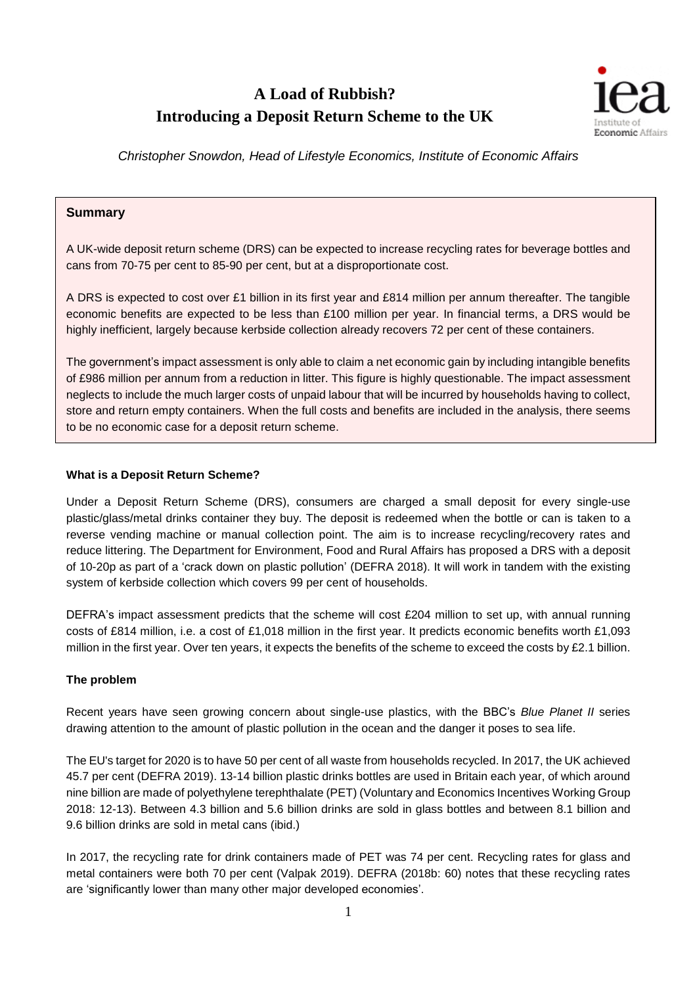# **A Load of Rubbish? Introducing a Deposit Return Scheme to the UK**



*Christopher Snowdon, Head of Lifestyle Economics, Institute of Economic Affairs*

# **Summary**

A UK-wide deposit return scheme (DRS) can be expected to increase recycling rates for beverage bottles and cans from 70-75 per cent to 85-90 per cent, but at a disproportionate cost.

A DRS is expected to cost over £1 billion in its first year and £814 million per annum thereafter. The tangible economic benefits are expected to be less than £100 million per year. In financial terms, a DRS would be highly inefficient, largely because kerbside collection already recovers 72 per cent of these containers.

The government's impact assessment is only able to claim a net economic gain by including intangible benefits of £986 million per annum from a reduction in litter. This figure is highly questionable. The impact assessment neglects to include the much larger costs of unpaid labour that will be incurred by households having to collect, store and return empty containers. When the full costs and benefits are included in the analysis, there seems to be no economic case for a deposit return scheme.

#### **What is a Deposit Return Scheme?**

Under a Deposit Return Scheme (DRS), consumers are charged a small deposit for every single-use plastic/glass/metal drinks container they buy. The deposit is redeemed when the bottle or can is taken to a reverse vending machine or manual collection point. The aim is to increase recycling/recovery rates and reduce littering. The Department for Environment, Food and Rural Affairs has proposed a DRS with a deposit of 10-20p as part of a 'crack down on plastic pollution' (DEFRA 2018). It will work in tandem with the existing system of kerbside collection which covers 99 per cent of households.

DEFRA's impact assessment predicts that the scheme will cost £204 million to set up, with annual running costs of £814 million, i.e. a cost of £1,018 million in the first year. It predicts economic benefits worth £1,093 million in the first year. Over ten years, it expects the benefits of the scheme to exceed the costs by £2.1 billion.

#### **The problem**

Recent years have seen growing concern about single-use plastics, with the BBC's *Blue Planet II* series drawing attention to the amount of plastic pollution in the ocean and the danger it poses to sea life.

The EU's target for 2020 is to have 50 per cent of all waste from households recycled. In 2017, the UK achieved 45.7 per cent (DEFRA 2019). 13-14 billion plastic drinks bottles are used in Britain each year, of which around nine billion are made of polyethylene terephthalate (PET) (Voluntary and Economics Incentives Working Group 2018: 12-13). Between 4.3 billion and 5.6 billion drinks are sold in glass bottles and between 8.1 billion and 9.6 billion drinks are sold in metal cans (ibid.)

In 2017, the recycling rate for drink containers made of PET was 74 per cent. Recycling rates for glass and metal containers were both 70 per cent (Valpak 2019). DEFRA (2018b: 60) notes that these recycling rates are 'significantly lower than many other major developed economies'.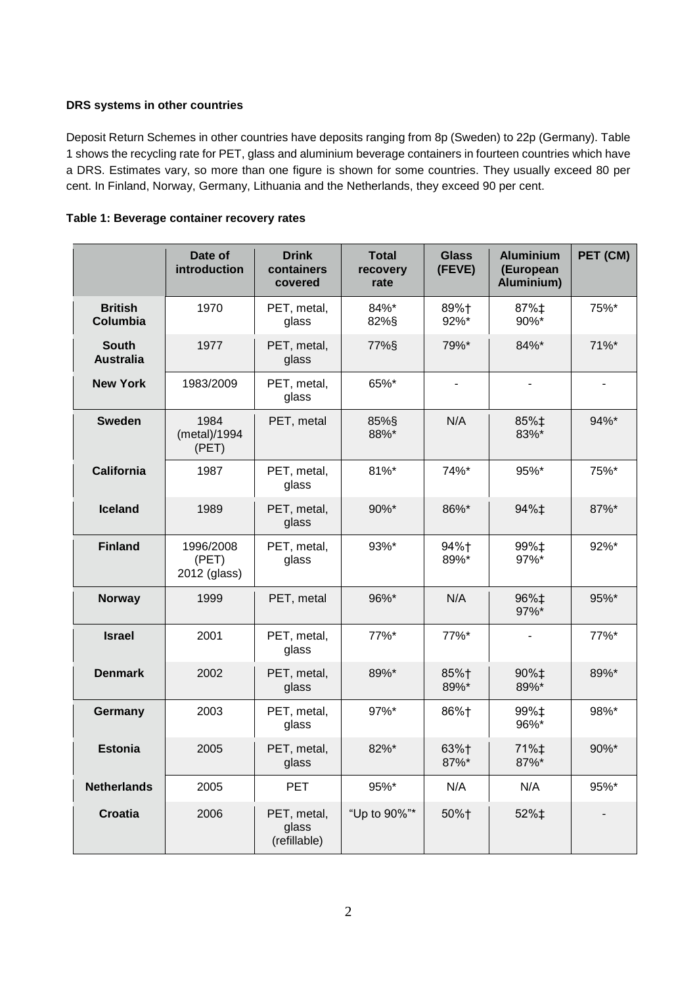## **DRS systems in other countries**

Deposit Return Schemes in other countries have deposits ranging from 8p (Sweden) to 22p (Germany). Table 1 shows the recycling rate for PET, glass and aluminium beverage containers in fourteen countries which have a DRS. Estimates vary, so more than one figure is shown for some countries. They usually exceed 80 per cent. In Finland, Norway, Germany, Lithuania and the Netherlands, they exceed 90 per cent.

| Table 1: Beverage container recovery rates |  |  |  |
|--------------------------------------------|--|--|--|
|--------------------------------------------|--|--|--|

|                                  | Date of<br>introduction            | <b>Drink</b><br>containers<br>covered | <b>Total</b><br>recovery<br>rate | <b>Glass</b><br>(FEVE) | <b>Aluminium</b><br>(European<br>Aluminium) | PET (CM) |
|----------------------------------|------------------------------------|---------------------------------------|----------------------------------|------------------------|---------------------------------------------|----------|
| <b>British</b><br>Columbia       | 1970                               | PET, metal,<br>glass                  | 84%*<br>82%§                     | 89%+<br>92%*           | 87%‡<br>90%*                                | 75%*     |
| <b>South</b><br><b>Australia</b> | 1977                               | PET, metal,<br>glass                  | 77%§                             | 79%*                   | 84%*                                        | 71%*     |
| <b>New York</b>                  | 1983/2009                          | PET, metal,<br>glass                  | 65%*                             |                        |                                             |          |
| <b>Sweden</b>                    | 1984<br>(metal)/1994<br>(PET)      | PET, metal                            | 85%§<br>88%*                     | N/A                    | 85%‡<br>83%*                                | 94%*     |
| <b>California</b>                | 1987                               | PET, metal,<br>glass                  | 81%*                             | 74%*                   | 95%*                                        | 75%*     |
| <b>Iceland</b>                   | 1989                               | PET, metal,<br>glass                  | 90%*                             | 86%*                   | 94%‡                                        | 87%*     |
| <b>Finland</b>                   | 1996/2008<br>(PET)<br>2012 (glass) | PET, metal,<br>glass                  | 93%*                             | 94%+<br>89%*           | 99%‡<br>97%*                                | 92%*     |
| <b>Norway</b>                    | 1999                               | PET, metal                            | 96%*                             | N/A                    | 96%‡<br>97%*                                | 95%*     |
| <b>Israel</b>                    | 2001                               | PET, metal,<br>glass                  | $77\%$ *                         | 77%*                   | $\overline{\phantom{a}}$                    | 77%*     |
| <b>Denmark</b>                   | 2002                               | PET, metal,<br>glass                  | 89%*                             | 85%+<br>89%*           | 90%‡<br>89%*                                | 89%*     |
| Germany                          | 2003                               | PET, metal,<br>glass                  | 97%*                             | 86%+                   | 99%‡<br>96%*                                | 98%*     |
| <b>Estonia</b>                   | 2005                               | PET, metal,<br>glass                  | 82%*                             | 63%+<br>87%*           | 71%‡<br>87%*                                | 90%*     |
| <b>Netherlands</b>               | 2005                               | <b>PET</b>                            | 95%*                             | N/A                    | N/A                                         | 95%*     |
| <b>Croatia</b>                   | 2006                               | PET, metal,<br>glass<br>(refillable)  | "Up to 90%"*                     | 50%+                   | 52%‡                                        |          |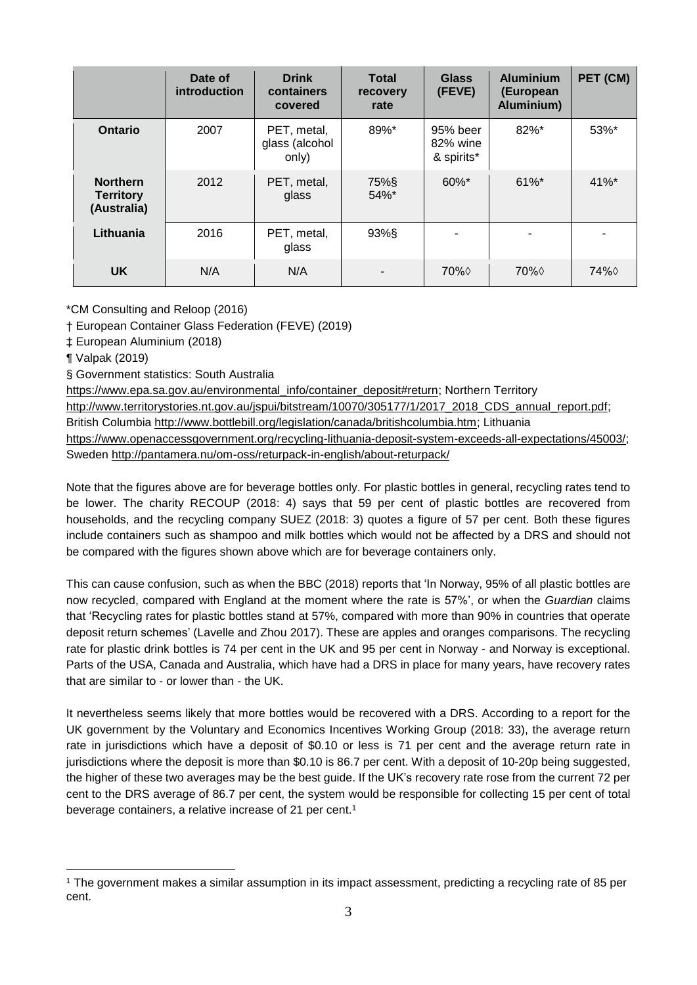|                                                    | Date of<br>introduction | <b>Drink</b><br>containers<br>covered  | <b>Total</b><br>recovery<br>rate | <b>Glass</b><br>(FEVE)             | <b>Aluminium</b><br>(European<br>Aluminium) | PET (CM) |
|----------------------------------------------------|-------------------------|----------------------------------------|----------------------------------|------------------------------------|---------------------------------------------|----------|
| <b>Ontario</b>                                     | 2007                    | PET, metal,<br>glass (alcohol<br>only) | 89%*                             | 95% beer<br>82% wine<br>& spirits* | 82%*                                        | 53%*     |
| <b>Northern</b><br><b>Territory</b><br>(Australia) | 2012                    | PET, metal,<br>glass                   | 75%§<br>$54\%$ *                 | $60\%$ *                           | $61\%$ *                                    | $41\%$ * |
| Lithuania                                          | 2016                    | PET, metal,<br>glass                   | 93%§                             |                                    |                                             |          |
| <b>UK</b>                                          | N/A                     | N/A                                    |                                  | $70\%$                             | $70\%$                                      | 74% ♦    |

\*CM Consulting and Reloop (2016)

† European Container Glass Federation (FEVE) (2019)

‡ European Aluminium (2018)

¶ Valpak (2019)

§ Government statistics: South Australia

[https://www.epa.sa.gov.au/environmental\\_info/container\\_deposit#return;](https://www.epa.sa.gov.au/environmental_info/container_deposit#return) Northern Territory [http://www.territorystories.nt.gov.au/jspui/bitstream/10070/305177/1/2017\\_2018\\_CDS\\_annual\\_report.pdf;](http://www.territorystories.nt.gov.au/jspui/bitstream/10070/305177/1/2017_2018_CDS_annual_report.pdf) British Columbia [http://www.bottlebill.org/legislation/canada/britishcolumbia.htm;](http://www.bottlebill.org/legislation/canada/britishcolumbia.htm) Lithuania [https://www.openaccessgovernment.org/recycling-lithuania-deposit-system-exceeds-all-expectations/45003/;](https://www.openaccessgovernment.org/recycling-lithuania-deposit-system-exceeds-all-expectations/45003/) Sweden <http://pantamera.nu/om-oss/returpack-in-english/about-returpack/>

Note that the figures above are for beverage bottles only. For plastic bottles in general, recycling rates tend to be lower. The charity RECOUP (2018: 4) says that 59 per cent of plastic bottles are recovered from households, and the recycling company SUEZ (2018: 3) quotes a figure of 57 per cent. Both these figures include containers such as shampoo and milk bottles which would not be affected by a DRS and should not be compared with the figures shown above which are for beverage containers only.

This can cause confusion, such as when the BBC (2018) reports that 'In Norway, 95% of all plastic bottles are now recycled, compared with England at the moment where the rate is 57%', or when the *Guardian* claims that 'Recycling rates for plastic bottles stand at 57%, compared with more than 90% in countries that operate deposit return schemes' (Lavelle and Zhou 2017). These are apples and oranges comparisons. The recycling rate for plastic drink bottles is 74 per cent in the UK and 95 per cent in Norway - and Norway is exceptional. Parts of the USA, Canada and Australia, which have had a DRS in place for many years, have recovery rates that are similar to - or lower than - the UK.

It nevertheless seems likely that more bottles would be recovered with a DRS. According to a report for the UK government by the Voluntary and Economics Incentives Working Group (2018: 33), the average return rate in jurisdictions which have a deposit of \$0.10 or less is 71 per cent and the average return rate in jurisdictions where the deposit is more than \$0.10 is 86.7 per cent. With a deposit of 10-20p being suggested, the higher of these two averages may be the best guide. If the UK's recovery rate rose from the current 72 per cent to the DRS average of 86.7 per cent, the system would be responsible for collecting 15 per cent of total beverage containers, a relative increase of 21 per cent.<sup>1</sup>

<sup>&</sup>lt;u>.</u> <sup>1</sup> The government makes a similar assumption in its impact assessment, predicting a recycling rate of 85 per cent.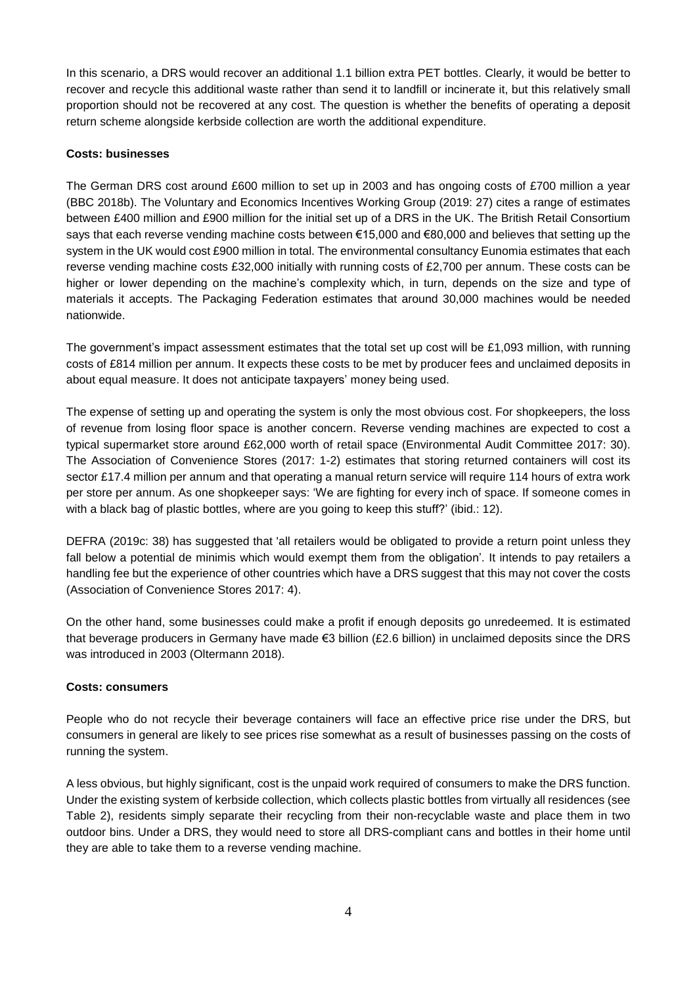In this scenario, a DRS would recover an additional 1.1 billion extra PET bottles. Clearly, it would be better to recover and recycle this additional waste rather than send it to landfill or incinerate it, but this relatively small proportion should not be recovered at any cost. The question is whether the benefits of operating a deposit return scheme alongside kerbside collection are worth the additional expenditure.

#### **Costs: businesses**

The German DRS cost around £600 million to set up in 2003 and has ongoing costs of £700 million a year (BBC 2018b). The Voluntary and Economics Incentives Working Group (2019: 27) cites a range of estimates between £400 million and £900 million for the initial set up of a DRS in the UK. The British Retail Consortium says that each reverse vending machine costs between €15,000 and €80,000 and believes that setting up the system in the UK would cost £900 million in total. The environmental consultancy Eunomia estimates that each reverse vending machine costs £32,000 initially with running costs of £2,700 per annum. These costs can be higher or lower depending on the machine's complexity which, in turn, depends on the size and type of materials it accepts. The Packaging Federation estimates that around 30,000 machines would be needed nationwide.

The government's impact assessment estimates that the total set up cost will be £1,093 million, with running costs of £814 million per annum. It expects these costs to be met by producer fees and unclaimed deposits in about equal measure. It does not anticipate taxpayers' money being used.

The expense of setting up and operating the system is only the most obvious cost. For shopkeepers, the loss of revenue from losing floor space is another concern. Reverse vending machines are expected to cost a typical supermarket store around £62,000 worth of retail space (Environmental Audit Committee 2017: 30). The Association of Convenience Stores (2017: 1-2) estimates that storing returned containers will cost its sector £17.4 million per annum and that operating a manual return service will require 114 hours of extra work per store per annum. As one shopkeeper says: 'We are fighting for every inch of space. If someone comes in with a black bag of plastic bottles, where are you going to keep this stuff?' (ibid.: 12).

DEFRA (2019c: 38) has suggested that 'all retailers would be obligated to provide a return point unless they fall below a potential de minimis which would exempt them from the obligation'. It intends to pay retailers a handling fee but the experience of other countries which have a DRS suggest that this may not cover the costs (Association of Convenience Stores 2017: 4).

On the other hand, some businesses could make a profit if enough deposits go unredeemed. It is estimated that beverage producers in Germany have made €3 billion (£2.6 billion) in unclaimed deposits since the DRS was introduced in 2003 (Oltermann 2018).

#### **Costs: consumers**

People who do not recycle their beverage containers will face an effective price rise under the DRS, but consumers in general are likely to see prices rise somewhat as a result of businesses passing on the costs of running the system.

A less obvious, but highly significant, cost is the unpaid work required of consumers to make the DRS function. Under the existing system of kerbside collection, which collects plastic bottles from virtually all residences (see Table 2), residents simply separate their recycling from their non-recyclable waste and place them in two outdoor bins. Under a DRS, they would need to store all DRS-compliant cans and bottles in their home until they are able to take them to a reverse vending machine.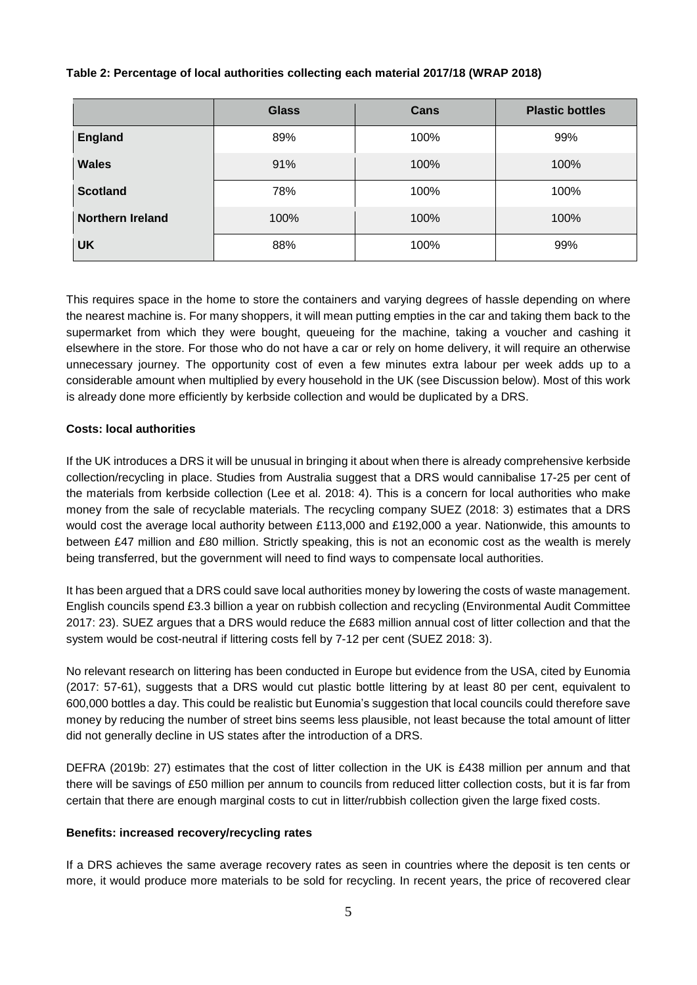#### **Table 2: Percentage of local authorities collecting each material 2017/18 (WRAP 2018)**

|                         | <b>Glass</b> | Cans | <b>Plastic bottles</b> |
|-------------------------|--------------|------|------------------------|
| <b>England</b>          | 89%          | 100% | 99%                    |
| <b>Wales</b>            | 91%          | 100% | 100%                   |
| <b>Scotland</b>         | 78%          | 100% | 100%                   |
| <b>Northern Ireland</b> | 100%         | 100% | 100%                   |
| <b>UK</b>               | 88%          | 100% | 99%                    |

This requires space in the home to store the containers and varying degrees of hassle depending on where the nearest machine is. For many shoppers, it will mean putting empties in the car and taking them back to the supermarket from which they were bought, queueing for the machine, taking a voucher and cashing it elsewhere in the store. For those who do not have a car or rely on home delivery, it will require an otherwise unnecessary journey. The opportunity cost of even a few minutes extra labour per week adds up to a considerable amount when multiplied by every household in the UK (see Discussion below). Most of this work is already done more efficiently by kerbside collection and would be duplicated by a DRS.

# **Costs: local authorities**

If the UK introduces a DRS it will be unusual in bringing it about when there is already comprehensive kerbside collection/recycling in place. Studies from Australia suggest that a DRS would cannibalise 17-25 per cent of the materials from kerbside collection (Lee et al. 2018: 4). This is a concern for local authorities who make money from the sale of recyclable materials. The recycling company SUEZ (2018: 3) estimates that a DRS would cost the average local authority between £113,000 and £192,000 a year. Nationwide, this amounts to between £47 million and £80 million. Strictly speaking, this is not an economic cost as the wealth is merely being transferred, but the government will need to find ways to compensate local authorities.

It has been argued that a DRS could save local authorities money by lowering the costs of waste management. English councils spend £3.3 billion a year on rubbish collection and recycling (Environmental Audit Committee 2017: 23). SUEZ argues that a DRS would reduce the £683 million annual cost of litter collection and that the system would be cost-neutral if littering costs fell by 7-12 per cent (SUEZ 2018: 3).

No relevant research on littering has been conducted in Europe but evidence from the USA, cited by Eunomia (2017: 57-61), suggests that a DRS would cut plastic bottle littering by at least 80 per cent, equivalent to 600,000 bottles a day. This could be realistic but Eunomia's suggestion that local councils could therefore save money by reducing the number of street bins seems less plausible, not least because the total amount of litter did not generally decline in US states after the introduction of a DRS.

DEFRA (2019b: 27) estimates that the cost of litter collection in the UK is £438 million per annum and that there will be savings of £50 million per annum to councils from reduced litter collection costs, but it is far from certain that there are enough marginal costs to cut in litter/rubbish collection given the large fixed costs.

#### **Benefits: increased recovery/recycling rates**

If a DRS achieves the same average recovery rates as seen in countries where the deposit is ten cents or more, it would produce more materials to be sold for recycling. In recent years, the price of recovered clear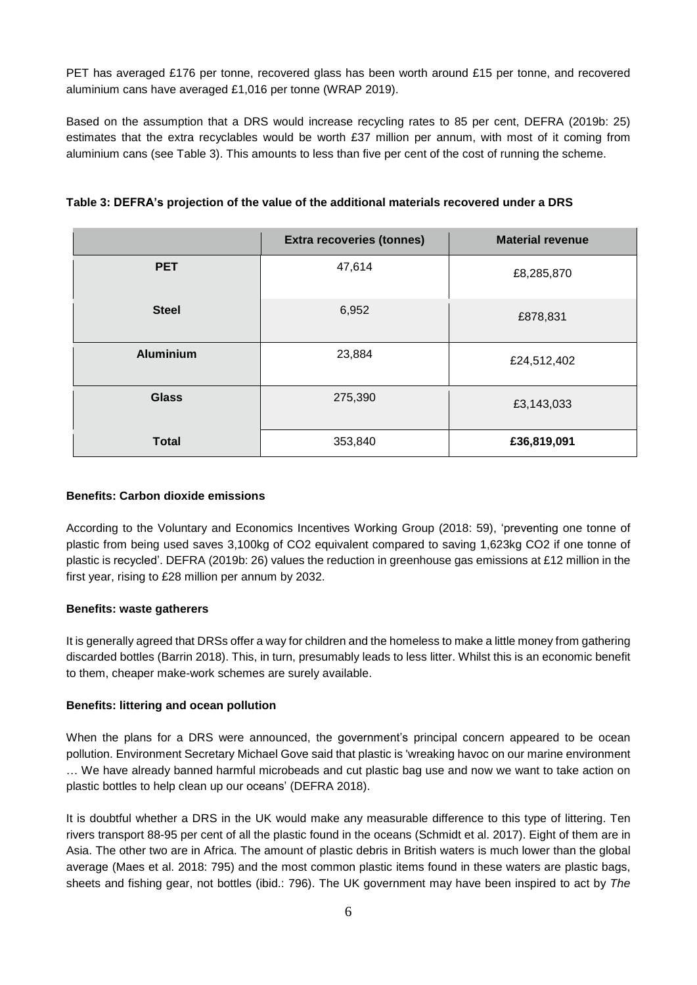PET has averaged £176 per tonne, recovered glass has been worth around £15 per tonne, and recovered aluminium cans have averaged £1,016 per tonne (WRAP 2019).

Based on the assumption that a DRS would increase recycling rates to 85 per cent, DEFRA (2019b: 25) estimates that the extra recyclables would be worth £37 million per annum, with most of it coming from aluminium cans (see Table 3). This amounts to less than five per cent of the cost of running the scheme.

|                  | <b>Extra recoveries (tonnes)</b> | <b>Material revenue</b> |
|------------------|----------------------------------|-------------------------|
| <b>PET</b>       | 47,614                           | £8,285,870              |
| <b>Steel</b>     | 6,952                            | £878,831                |
| <b>Aluminium</b> | 23,884                           | £24,512,402             |
| <b>Glass</b>     | 275,390                          | £3,143,033              |
| <b>Total</b>     | 353,840                          | £36,819,091             |

**Table 3: DEFRA's projection of the value of the additional materials recovered under a DRS**

#### **Benefits: Carbon dioxide emissions**

According to the Voluntary and Economics Incentives Working Group (2018: 59), 'preventing one tonne of plastic from being used saves 3,100kg of CO2 equivalent compared to saving 1,623kg CO2 if one tonne of plastic is recycled'. DEFRA (2019b: 26) values the reduction in greenhouse gas emissions at £12 million in the first year, rising to £28 million per annum by 2032.

#### **Benefits: waste gatherers**

It is generally agreed that DRSs offer a way for children and the homeless to make a little money from gathering discarded bottles (Barrin 2018). This, in turn, presumably leads to less litter. Whilst this is an economic benefit to them, cheaper make-work schemes are surely available.

#### **Benefits: littering and ocean pollution**

When the plans for a DRS were announced, the government's principal concern appeared to be ocean pollution. Environment Secretary Michael Gove said that plastic is 'wreaking havoc on our marine environment … We have already banned harmful microbeads and cut plastic bag use and now we want to take action on plastic bottles to help clean up our oceans' (DEFRA 2018).

It is doubtful whether a DRS in the UK would make any measurable difference to this type of littering. Ten rivers transport 88-95 per cent of all the plastic found in the oceans (Schmidt et al. 2017). Eight of them are in Asia. The other two are in Africa. The amount of plastic debris in British waters is much lower than the global average (Maes et al. 2018: 795) and the most common plastic items found in these waters are plastic bags, sheets and fishing gear, not bottles (ibid.: 796). The UK government may have been inspired to act by *The*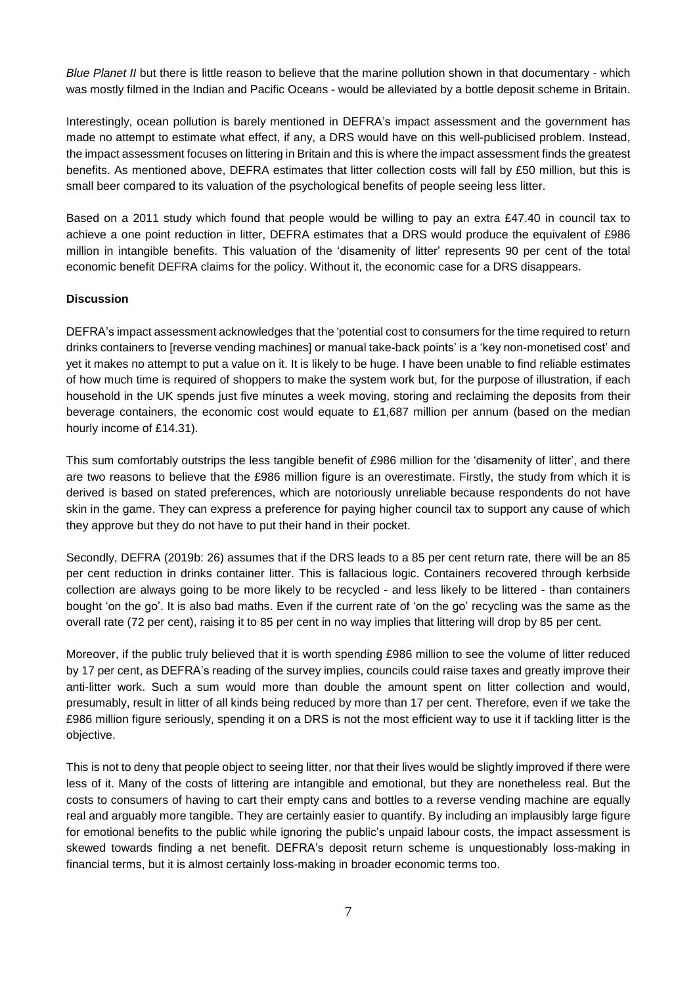*Blue Planet II* but there is little reason to believe that the marine pollution shown in that documentary - which was mostly filmed in the Indian and Pacific Oceans - would be alleviated by a bottle deposit scheme in Britain.

Interestingly, ocean pollution is barely mentioned in DEFRA's impact assessment and the government has made no attempt to estimate what effect, if any, a DRS would have on this well-publicised problem. Instead, the impact assessment focuses on littering in Britain and this is where the impact assessment finds the greatest benefits. As mentioned above, DEFRA estimates that litter collection costs will fall by £50 million, but this is small beer compared to its valuation of the psychological benefits of people seeing less litter.

Based on a 2011 study which found that people would be willing to pay an extra £47.40 in council tax to achieve a one point reduction in litter, DEFRA estimates that a DRS would produce the equivalent of £986 million in intangible benefits. This valuation of the 'disamenity of litter' represents 90 per cent of the total economic benefit DEFRA claims for the policy. Without it, the economic case for a DRS disappears.

# **Discussion**

DEFRA's impact assessment acknowledges that the 'potential cost to consumers for the time required to return drinks containers to [reverse vending machines] or manual take-back points' is a 'key non-monetised cost' and yet it makes no attempt to put a value on it. It is likely to be huge. I have been unable to find reliable estimates of how much time is required of shoppers to make the system work but, for the purpose of illustration, if each household in the UK spends just five minutes a week moving, storing and reclaiming the deposits from their beverage containers, the economic cost would equate to £1,687 million per annum (based on the median hourly income of £14.31).

This sum comfortably outstrips the less tangible benefit of £986 million for the 'disamenity of litter', and there are two reasons to believe that the £986 million figure is an overestimate. Firstly, the study from which it is derived is based on stated preferences, which are notoriously unreliable because respondents do not have skin in the game. They can express a preference for paying higher council tax to support any cause of which they approve but they do not have to put their hand in their pocket.

Secondly, DEFRA (2019b: 26) assumes that if the DRS leads to a 85 per cent return rate, there will be an 85 per cent reduction in drinks container litter. This is fallacious logic. Containers recovered through kerbside collection are always going to be more likely to be recycled - and less likely to be littered - than containers bought 'on the go'. It is also bad maths. Even if the current rate of 'on the go' recycling was the same as the overall rate (72 per cent), raising it to 85 per cent in no way implies that littering will drop by 85 per cent.

Moreover, if the public truly believed that it is worth spending £986 million to see the volume of litter reduced by 17 per cent, as DEFRA's reading of the survey implies, councils could raise taxes and greatly improve their anti-litter work. Such a sum would more than double the amount spent on litter collection and would, presumably, result in litter of all kinds being reduced by more than 17 per cent. Therefore, even if we take the £986 million figure seriously, spending it on a DRS is not the most efficient way to use it if tackling litter is the objective.

This is not to deny that people object to seeing litter, nor that their lives would be slightly improved if there were less of it. Many of the costs of littering are intangible and emotional, but they are nonetheless real. But the costs to consumers of having to cart their empty cans and bottles to a reverse vending machine are equally real and arguably more tangible. They are certainly easier to quantify. By including an implausibly large figure for emotional benefits to the public while ignoring the public's unpaid labour costs, the impact assessment is skewed towards finding a net benefit. DEFRA's deposit return scheme is unquestionably loss-making in financial terms, but it is almost certainly loss-making in broader economic terms too.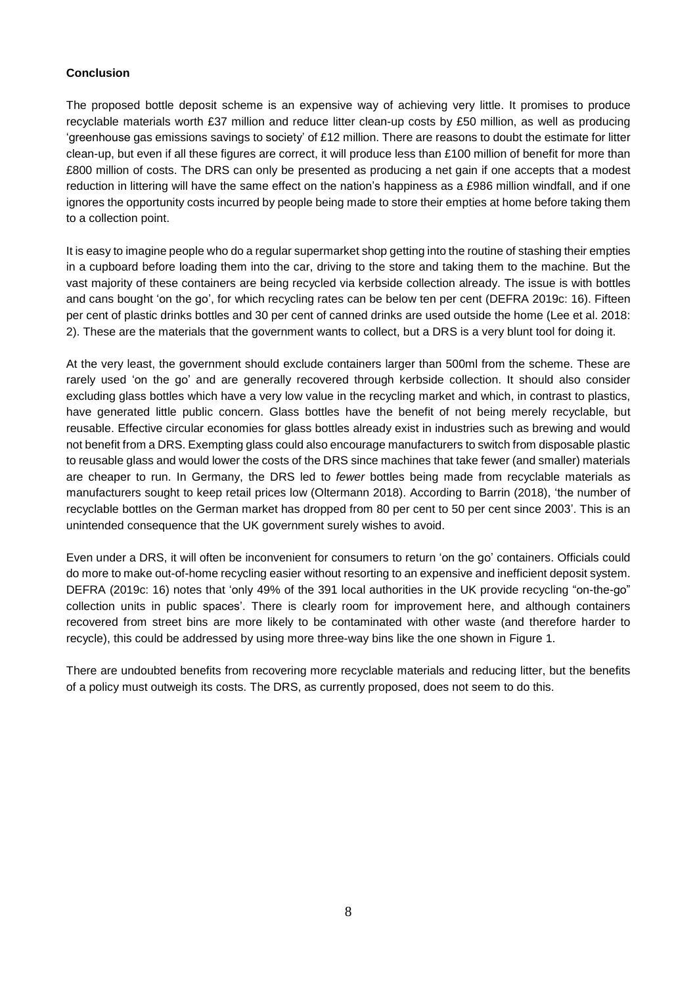#### **Conclusion**

The proposed bottle deposit scheme is an expensive way of achieving very little. It promises to produce recyclable materials worth £37 million and reduce litter clean-up costs by £50 million, as well as producing 'greenhouse gas emissions savings to society' of £12 million. There are reasons to doubt the estimate for litter clean-up, but even if all these figures are correct, it will produce less than £100 million of benefit for more than £800 million of costs. The DRS can only be presented as producing a net gain if one accepts that a modest reduction in littering will have the same effect on the nation's happiness as a £986 million windfall, and if one ignores the opportunity costs incurred by people being made to store their empties at home before taking them to a collection point.

It is easy to imagine people who do a regular supermarket shop getting into the routine of stashing their empties in a cupboard before loading them into the car, driving to the store and taking them to the machine. But the vast majority of these containers are being recycled via kerbside collection already. The issue is with bottles and cans bought 'on the go', for which recycling rates can be below ten per cent (DEFRA 2019c: 16). Fifteen per cent of plastic drinks bottles and 30 per cent of canned drinks are used outside the home (Lee et al. 2018: 2). These are the materials that the government wants to collect, but a DRS is a very blunt tool for doing it.

At the very least, the government should exclude containers larger than 500ml from the scheme. These are rarely used 'on the go' and are generally recovered through kerbside collection. It should also consider excluding glass bottles which have a very low value in the recycling market and which, in contrast to plastics, have generated little public concern. Glass bottles have the benefit of not being merely recyclable, but reusable. Effective circular economies for glass bottles already exist in industries such as brewing and would not benefit from a DRS. Exempting glass could also encourage manufacturers to switch from disposable plastic to reusable glass and would lower the costs of the DRS since machines that take fewer (and smaller) materials are cheaper to run. In Germany, the DRS led to *fewer* bottles being made from recyclable materials as manufacturers sought to keep retail prices low (Oltermann 2018). According to Barrin (2018), 'the number of recyclable bottles on the German market has dropped from 80 per cent to 50 per cent since 2003'. This is an unintended consequence that the UK government surely wishes to avoid.

Even under a DRS, it will often be inconvenient for consumers to return 'on the go' containers. Officials could do more to make out-of-home recycling easier without resorting to an expensive and inefficient deposit system. DEFRA (2019c: 16) notes that 'only 49% of the 391 local authorities in the UK provide recycling "on-the-go" collection units in public spaces'. There is clearly room for improvement here, and although containers recovered from street bins are more likely to be contaminated with other waste (and therefore harder to recycle), this could be addressed by using more three-way bins like the one shown in Figure 1.

There are undoubted benefits from recovering more recyclable materials and reducing litter, but the benefits of a policy must outweigh its costs. The DRS, as currently proposed, does not seem to do this.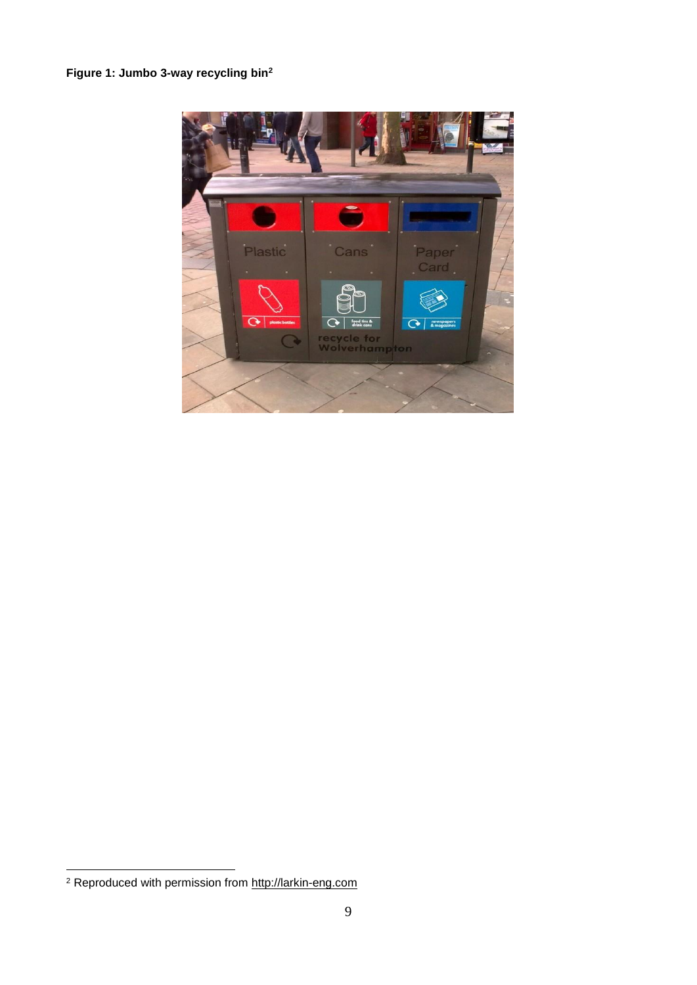# **Figure 1: Jumbo 3-way recycling bin<sup>2</sup>**



<u>.</u>

<sup>&</sup>lt;sup>2</sup> Reproduced with permission from [http://larkin-eng.com](http://larkin-eng.com/)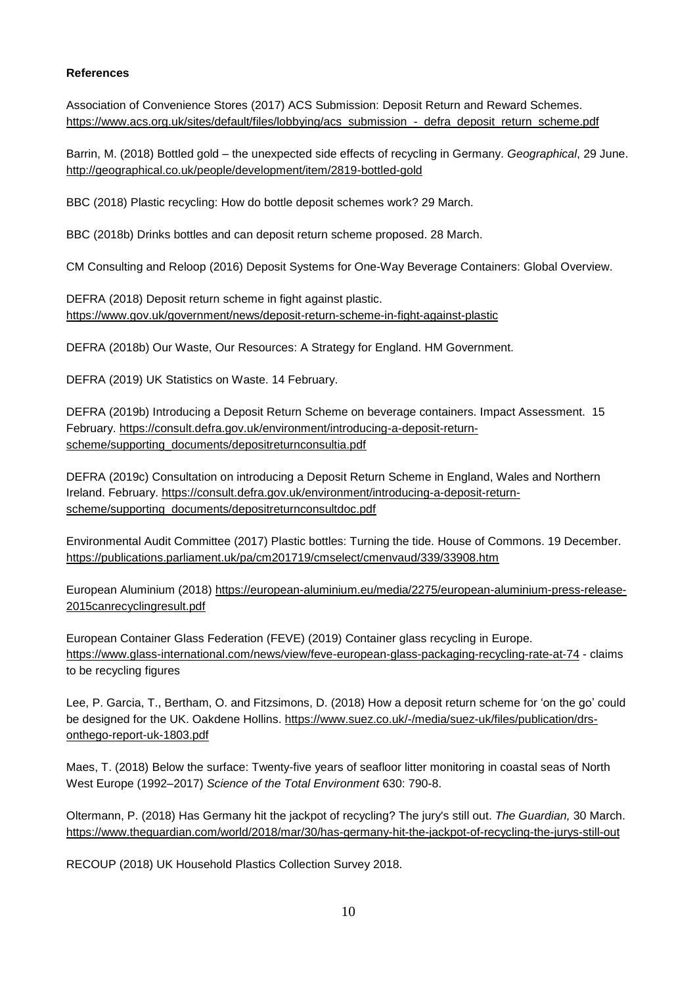# **References**

Association of Convenience Stores (2017) ACS Submission: Deposit Return and Reward Schemes. [https://www.acs.org.uk/sites/default/files/lobbying/acs\\_submission\\_-\\_defra\\_deposit\\_return\\_scheme.pdf](https://www.acs.org.uk/sites/default/files/lobbying/acs_submission_-_defra_deposit_return_scheme.pdf)

Barrin, M. (2018) Bottled gold – the unexpected side effects of recycling in Germany. *Geographical*, 29 June. <http://geographical.co.uk/people/development/item/2819-bottled-gold>

BBC (2018) Plastic recycling: How do bottle deposit schemes work? 29 March.

BBC (2018b) Drinks bottles and can deposit return scheme proposed. 28 March.

CM Consulting and Reloop (2016) Deposit Systems for One-Way Beverage Containers: Global Overview.

DEFRA (2018) Deposit return scheme in fight against plastic. <https://www.gov.uk/government/news/deposit-return-scheme-in-fight-against-plastic>

DEFRA (2018b) Our Waste, Our Resources: A Strategy for England. HM Government.

DEFRA (2019) UK Statistics on Waste. 14 February.

DEFRA (2019b) Introducing a Deposit Return Scheme on beverage containers. Impact Assessment. 15 February. [https://consult.defra.gov.uk/environment/introducing-a-deposit-return](https://consult.defra.gov.uk/environment/introducing-a-deposit-return-scheme/supporting_documents/depositreturnconsultia.pdf)[scheme/supporting\\_documents/depositreturnconsultia.pdf](https://consult.defra.gov.uk/environment/introducing-a-deposit-return-scheme/supporting_documents/depositreturnconsultia.pdf)

DEFRA (2019c) Consultation on introducing a Deposit Return Scheme in England, Wales and Northern Ireland. February. [https://consult.defra.gov.uk/environment/introducing-a-deposit-return](https://consult.defra.gov.uk/environment/introducing-a-deposit-return-scheme/supporting_documents/depositreturnconsultdoc.pdf)[scheme/supporting\\_documents/depositreturnconsultdoc.pdf](https://consult.defra.gov.uk/environment/introducing-a-deposit-return-scheme/supporting_documents/depositreturnconsultdoc.pdf)

Environmental Audit Committee (2017) Plastic bottles: Turning the tide. House of Commons. 19 December. <https://publications.parliament.uk/pa/cm201719/cmselect/cmenvaud/339/33908.htm>

European Aluminium (2018) [https://european-aluminium.eu/media/2275/european-aluminium-press-release-](https://european-aluminium.eu/media/2275/european-aluminium-press-release-2015canrecyclingresult.pdf)[2015canrecyclingresult.pdf](https://european-aluminium.eu/media/2275/european-aluminium-press-release-2015canrecyclingresult.pdf)

European Container Glass Federation (FEVE) (2019) Container glass recycling in Europe. <https://www.glass-international.com/news/view/feve-european-glass-packaging-recycling-rate-at-74> - claims to be recycling figures

Lee, P. Garcia, T., Bertham, O. and Fitzsimons, D. (2018) How a deposit return scheme for 'on the go' could be designed for the UK. Oakdene Hollins. [https://www.suez.co.uk/-/media/suez-uk/files/publication/drs](https://www.suez.co.uk/-/media/suez-uk/files/publication/drs-onthego-report-uk-1803.pdf)[onthego-report-uk-1803.pdf](https://www.suez.co.uk/-/media/suez-uk/files/publication/drs-onthego-report-uk-1803.pdf)

Maes, T. (2018) Below the surface: Twenty-five years of seafloor litter monitoring in coastal seas of North West Europe (1992–2017) *Science of the Total Environment* 630: 790-8.

Oltermann, P. (2018) Has Germany hit the jackpot of recycling? The jury's still out. *The Guardian,* 30 March. <https://www.theguardian.com/world/2018/mar/30/has-germany-hit-the-jackpot-of-recycling-the-jurys-still-out>

RECOUP (2018) UK Household Plastics Collection Survey 2018.